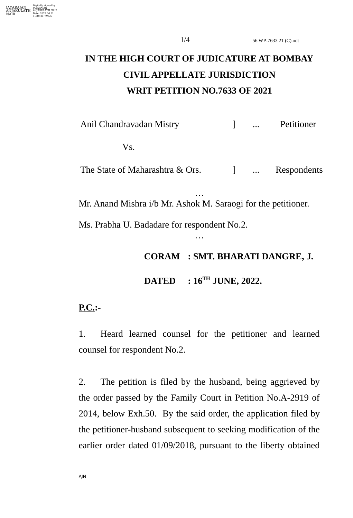## **IN THE HIGH COURT OF JUDICATURE AT BOMBAY CIVIL APPELLATE JURISDICTION WRIT PETITION NO.7633 OF 2021**

Anil Chandravadan Mistry **and Chandravadan Mistry and Petitioner** 

Vs.

The State of Maharashtra & Ors. 1 ... Respondents

Mr. Anand Mishra i/b Mr. Ashok M. Saraogi for the petitioner.

…

…

Ms. Prabha U. Badadare for respondent No.2.

**CORAM : SMT. BHARATI DANGRE, J.**

**DATED : 16TH JUNE, 2022.**

## **P.C.:-**

1. Heard learned counsel for the petitioner and learned counsel for respondent No.2.

2. The petition is filed by the husband, being aggrieved by the order passed by the Family Court in Petition No.A-2919 of 2014, below Exh.50. By the said order, the application filed by the petitioner-husband subsequent to seeking modification of the earlier order dated 01/09/2018, pursuant to the liberty obtained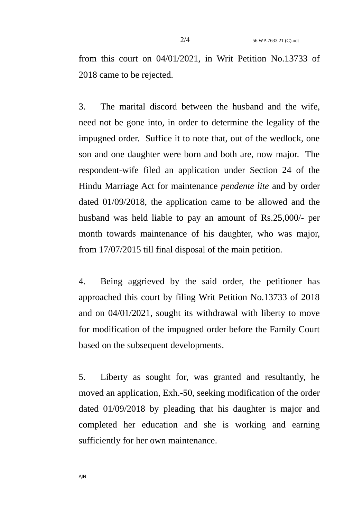from this court on 04/01/2021, in Writ Petition No.13733 of 2018 came to be rejected.

3. The marital discord between the husband and the wife, need not be gone into, in order to determine the legality of the impugned order. Suffice it to note that, out of the wedlock, one son and one daughter were born and both are, now major. The respondent-wife filed an application under Section 24 of the Hindu Marriage Act for maintenance *pendente lite* and by order dated 01/09/2018, the application came to be allowed and the husband was held liable to pay an amount of Rs.25,000/- per month towards maintenance of his daughter, who was major, from 17/07/2015 till final disposal of the main petition.

4. Being aggrieved by the said order, the petitioner has approached this court by filing Writ Petition No.13733 of 2018 and on 04/01/2021, sought its withdrawal with liberty to move for modification of the impugned order before the Family Court based on the subsequent developments.

5. Liberty as sought for, was granted and resultantly, he moved an application, Exh.-50, seeking modification of the order dated 01/09/2018 by pleading that his daughter is major and completed her education and she is working and earning sufficiently for her own maintenance.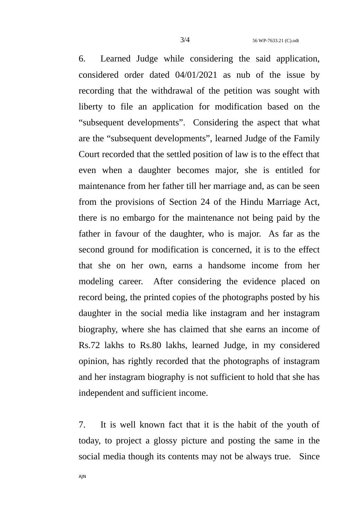6. Learned Judge while considering the said application, considered order dated 04/01/2021 as nub of the issue by recording that the withdrawal of the petition was sought with liberty to file an application for modification based on the "subsequent developments". Considering the aspect that what are the "subsequent developments", learned Judge of the Family Court recorded that the settled position of law is to the effect that even when a daughter becomes major, she is entitled for maintenance from her father till her marriage and, as can be seen from the provisions of Section 24 of the Hindu Marriage Act, there is no embargo for the maintenance not being paid by the father in favour of the daughter, who is major. As far as the second ground for modification is concerned, it is to the effect that she on her own, earns a handsome income from her modeling career. After considering the evidence placed on record being, the printed copies of the photographs posted by his daughter in the social media like instagram and her instagram biography, where she has claimed that she earns an income of Rs.72 lakhs to Rs.80 lakhs, learned Judge, in my considered opinion, has rightly recorded that the photographs of instagram and her instagram biography is not sufficient to hold that she has independent and sufficient income.

7. It is well known fact that it is the habit of the youth of today, to project a glossy picture and posting the same in the social media though its contents may not be always true. Since